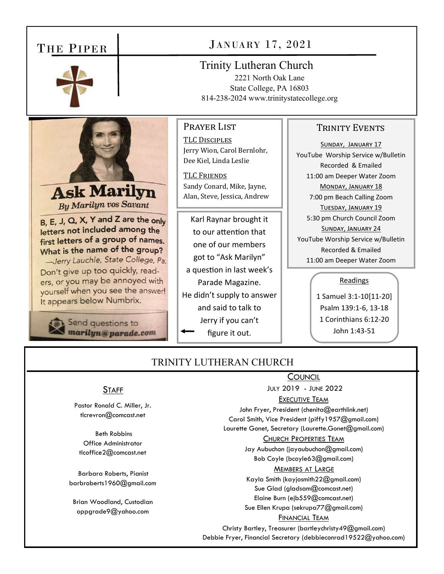## THE PIPER



**Ask Marilyn** By Marilyn vos Savant

B, E, J, Q, X, Y and Z are the only letters not included among the first letters of a group of names. What is the name of the group? -Jerry Lauchle, State College, Pa. Don't give up too quickly, readers, or you may be annoyed with yourself when you see the answer!

It appears below Numbrix.

Send questions to marilyn@parade.com JANUARY 17, 2021

Trinity Lutheran Church

2221 North Oak Lane State College, PA 16803 814-238-2024 www.trinitystatecollege.org

# Prayer List

TLC DISCIPLES Jerry Wion, Carol Bernlohr, Dee Kiel, Linda Leslie

**TLC FRIENDS** Sandy Conard, Mike, Jayne, Alan, Steve, Jessica, Andrew

Karl Raynar brought it to our attention that one of our members got to "Ask Marilyn" a question in last week's Parade Magazine. He didn't supply to answer and said to talk to Jerry if you can't figure it out.

### TRINITY EVENTS

SUNDAY, JANUARY 17 YouTube Worship Service w/Bulletin Recorded & Emailed 11:00 am Deeper Water Zoom MONDAY, JANUARY 18 7:00 pm Beach Calling Zoom TUESDAY, JANUARY 19 5:30 pm Church Council Zoom SUNDAY, JANUARY 24 YouTube Worship Service w/Bulletin Recorded & Emailed 11:00 am Deeper Water Zoom

#### Readings

1 Samuel 3:1‐10[11‐20] Psalm 139:1‐6, 13‐18 1 Corinthians 6:12‐20 John 1:43‐51

### TRINITY LUTHERAN CHURCH

### **STAFF**

Pastor Ronald C. Miller, Jr. tlcrevron@comcast.net

 Beth Robbins Office Administrator tlcoffice2@comcast.net

Barbara Roberts, Pianist barbroberts1960@gmail.com

Brian Woodland, Custodian oppgrade9@yahoo.com

#### **COUNCIL**

JULY 2019 - JUNE 2022

EXECUTIVE TEAM

John Fryer, President (chenita@earthlink.net) Carol Smith, Vice President (piffy1957@gmail.com)

Laurette Gonet, Secretary (Laurette.Gonet@gmail.com) CHURCH PROPERTIES TEAM

### Jay Aubuchon (jayaubuchon@gmail.com)

Bob Coyle (bcoyle63@gmail.com)

#### MEMBERS AT LARGE

Kayla Smith (kayjosmith22@gmail.com) Sue Glad (gladsam@comcast.net) Elaine Burn (ejb559@comcast.net) Sue Ellen Krupa (sekrupa77@gmail.com)

#### FINANCIAL TEAM

Christy Bartley, Treasurer (bartleychristy49@gmail.com) Debbie Fryer, Financial Secretary (debbieconrad19522@yahoo.com)